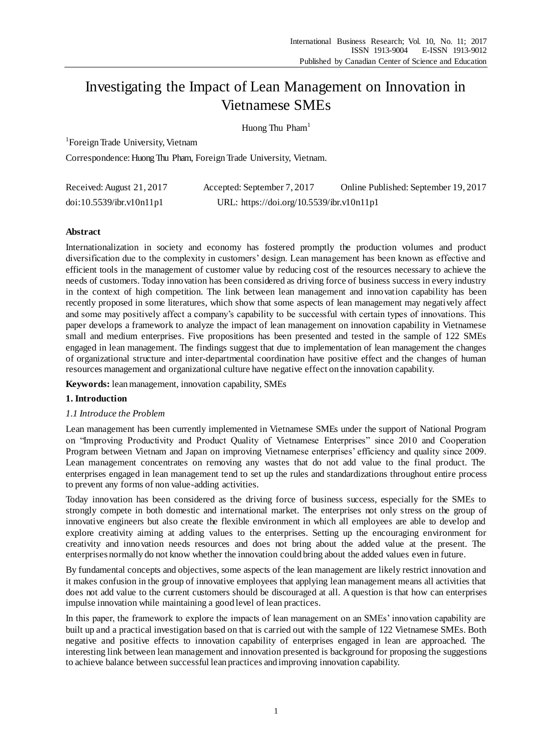# Investigating the Impact of Lean Management on Innovation in Vietnamese SMEs

Huong Thu Pham<sup>1</sup>

<sup>1</sup>Foreign Trade University, Vietnam

Correspondence:Huong Thu Pham, Foreign Trade University, Vietnam.

| Received: August 21, 2017 | Accepted: September 7, 2017               | Online Published: September 19, 2017 |
|---------------------------|-------------------------------------------|--------------------------------------|
| doi:10.5539/ibr.v10n11p1  | URL: https://doi.org/10.5539/ibr.v10n11p1 |                                      |

# **Abstract**

Internationalization in society and economy has fostered promptly the production volumes and product diversification due to the complexity in customers' design. Lean management has been known as effective and efficient tools in the management of customer value by reducing cost of the resources necessary to achieve the needs of customers. Today innovation has been considered as driving force of business success in every industry in the context of high competition. The link between lean management and innovation capability has been recently proposed in some literatures, which show that some aspects of lean management may negatively affect and some may positively affect a company's capability to be successful with certain types of innovations. This paper develops a framework to analyze the impact of lean management on innovation capability in Vietnamese small and medium enterprises. Five propositions has been presented and tested in the sample of 122 SMEs engaged in lean management. The findings suggest that due to implementation of lean management the changes of organizational structure and inter-departmental coordination have positive effect and the changes of human resources management and organizational culture have negative effect on the innovation capability.

**Keywords:** lean management, innovation capability, SMEs

## **1. Introduction**

## *1.1 Introduce the Problem*

Lean management has been currently implemented in Vietnamese SMEs under the support of National Program on "Improving Productivity and Product Quality of Vietnamese Enterprises" since 2010 and Cooperation Program between Vietnam and Japan on improving Vietnamese enterprises' efficiency and quality since 2009. Lean management concentrates on removing any wastes that do not add value to the final product. The enterprises engaged in lean management tend to set up the rules and standardizations throughout entire process to prevent any forms of non value-adding activities.

Today innovation has been considered as the driving force of business success, especially for the SMEs to strongly compete in both domestic and international market. The enterprises not only stress on the group of innovative engineers but also create the flexible environment in which all employees are able to develop and explore creativity aiming at adding values to the enterprises. Setting up the encouraging environment for creativity and innovation needs resources and does not bring about the added value at the present. The enterprises normally do not know whether the innovation could bring about the added values even in future.

By fundamental concepts and objectives, some aspects of the lean management are likely restrict innovation and it makes confusion in the group of innovative employees that applying lean management means all activities that does not add value to the current customers should be discouraged at all. A question is that how can enterprises impulse innovation while maintaining a good level of lean practices.

In this paper, the framework to explore the impacts of lean management on an SMEs' innovation capability are built up and a practical investigation based on that is carried out with the sample of 122 Vietnamese SMEs. Both negative and positive effects to innovation capability of enterprises engaged in lean are approached. The interesting link between lean management and innovation presented is background for proposing the suggestions to achieve balance between successful lean practices and improving innovation capability.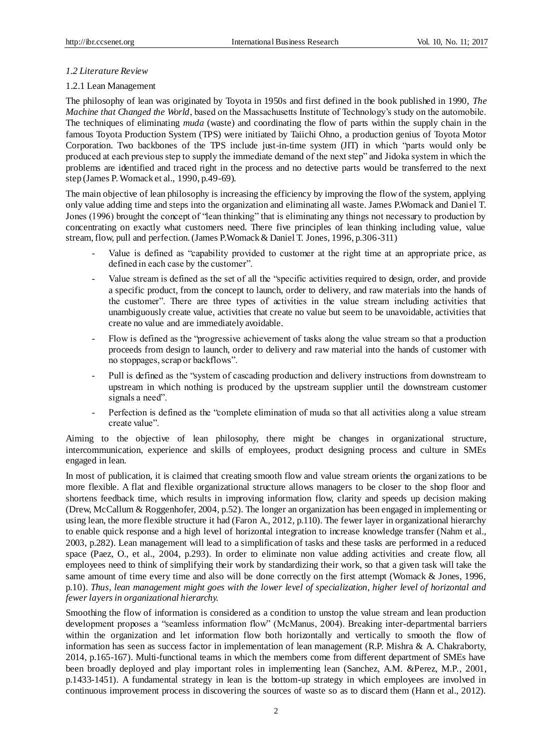# *1.2 Literature Review*

# 1.2.1 Lean Management

The philosophy of lean was originated by Toyota in 1950s and first defined in the book published in 1990, *The Machine that Changed the World*, based on the Massachusetts Institute of Technology's study on the automobile. The techniques of eliminating *muda* (waste) and coordinating the flow of parts within the supply chain in the famous Toyota Production System (TPS) were initiated by Taiichi Ohno, a production genius of Toyota Motor Corporation. Two backbones of the TPS include just-in-time system (JIT) in which "parts would only be produced at each previous step to supply the immediate demand of the next step" and Jidoka system in which the problems are identified and traced right in the process and no detective parts would be transferred to the next step (James P. Womack et al., 1990, p.49-69).

The main objective of lean philosophy is increasing the efficiency by improving the flow of the system, applying only value adding time and steps into the organization and eliminating all waste. James P.Womack and Daniel T. Jones (1996) brought the concept of "lean thinking" that is eliminating any things not necessary to production by concentrating on exactly what customers need. There five principles of lean thinking including value, value stream, flow, pull and perfection. (James P.Womack & Daniel T. Jones, 1996, p.306-311)

- Value is defined as "capability provided to customer at the right time at an appropriate price, as defined in each case by the customer".
- Value stream is defined as the set of all the "specific activities required to design, order, and provide a specific product, from the concept to launch, order to delivery, and raw materials into the hands of the customer". There are three types of activities in the value stream including activities that unambiguously create value, activities that create no value but seem to be unavoidable, activities that create no value and are immediately avoidable.
- Flow is defined as the "progressive achievement of tasks along the value stream so that a production proceeds from design to launch, order to delivery and raw material into the hands of customer with no stoppages, scrap or backflows".
- Pull is defined as the "system of cascading production and delivery instructions from downstream to upstream in which nothing is produced by the upstream supplier until the downstream customer signals a need".
- Perfection is defined as the "complete elimination of muda so that all activities along a value stream create value".

Aiming to the objective of lean philosophy, there might be changes in organizational structure, intercommunication, experience and skills of employees, product designing process and culture in SMEs engaged in lean.

In most of publication, it is claimed that creating smooth flow and value stream orients the organizations to be more flexible. A flat and flexible organizational structure allows managers to be closer to the shop floor and shortens feedback time, which results in improving information flow, clarity and speeds up decision making (Drew, McCallum & Roggenhofer, 2004, p.52). The longer an organization has been engaged in implementing or using lean, the more flexible structure it had (Faron A., 2012, p.110). The fewer layer in organizational hierarchy to enable quick response and a high level of horizontal integration to increase knowledge transfer (Nahm et al., 2003, p.282). Lean management will lead to a simplification of tasks and these tasks are performed in a reduced space (Paez, O., et al., 2004, p.293). In order to eliminate non value adding activities and create flow, all employees need to think of simplifying their work by standardizing their work, so that a given task will take the same amount of time every time and also will be done correctly on the first attempt (Womack & Jones, 1996, p.10). *Thus, lean management might goes with the lower level of specialization, higher level of horizontal and fewer layers in organizational hierarchy.*

Smoothing the flow of information is considered as a condition to unstop the value stream and lean production development proposes a "seamless information flow" (McManus, 2004). Breaking inter-departmental barriers within the organization and let information flow both horizontally and vertically to smooth the flow of information has seen as success factor in implementation of lean management (R.P. Mishra & A. Chakraborty, 2014, p.165-167). Multi-functional teams in which the members come from different department of SMEs have been broadly deployed and play important roles in implementing lean (Sanchez, A.M. &Perez, M.P., 2001, p.1433-1451). A fundamental strategy in lean is the bottom-up strategy in which employees are involved in continuous improvement process in discovering the sources of waste so as to discard them (Hann et al., 2012).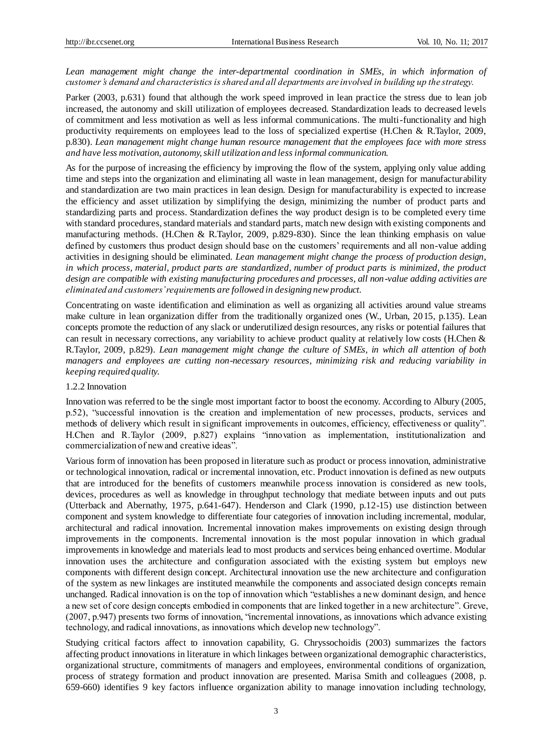# *Lean management might change the inter-departmental coordination in SMEs, in which information of customer's demand and characteristics is shared and all departments are involved in building up the strategy.*

Parker (2003, p.631) found that although the work speed improved in lean practice the stress due to lean job increased, the autonomy and skill utilization of employees decreased. Standardization leads to decreased levels of commitment and less motivation as well as less informal communications. The multi-functionality and high productivity requirements on employees lead to the loss of specialized expertise (H.Chen & R.Taylor, 2009, p.830). *Lean management might change human resource management that the employees face with more stress and have less motivation, autonomy, skill utilization and less informal communication.* 

As for the purpose of increasing the efficiency by improving the flow of the system, applying only value adding time and steps into the organization and eliminating all waste in lean management, design for manufacturability and standardization are two main practices in lean design. Design for manufacturability is expected to increase the efficiency and asset utilization by simplifying the design, minimizing the number of product parts and standardizing parts and process. Standardization defines the way product design is to be completed every time with standard procedures, standard materials and standard parts, match new design with existing components and manufacturing methods. (H.Chen & R.Taylor, 2009, p.829-830). Since the lean thinking emphasis on value defined by customers thus product design should base on the customers' requirements and all non-value adding activities in designing should be eliminated. *Lean management might change the process of production design,* in which process, material, product parts are standardized, number of product parts is minimized, the product *design are compatible with existing manufacturing procedures and processes, all non-value adding activities are eliminated and customers' requirements are followed in designing new product.* 

Concentrating on waste identification and elimination as well as organizing all activities around value streams make culture in lean organization differ from the traditionally organized ones (W., Urban, 2015, p.135). Lean concepts promote the reduction of any slack or underutilized design resources, any risks or potential failures that can result in necessary corrections, any variability to achieve product quality at relatively low costs (H.Chen & R.Taylor, 2009, p.829). *Lean management might change the culture of SMEs, in which all attention of both managers and employees are cutting non-necessary resources, minimizing risk and reducing variability in keeping required quality.* 

#### 1.2.2 Innovation

Innovation was referred to be the single most important factor to boost the economy. According to Albury (2005, p.52), "successful innovation is the creation and implementation of new processes, products, services and methods of delivery which result in significant improvements in outcomes, efficiency, effectiveness or quality". H.Chen and R.Taylor (2009, p.827) explains "innovation as implementation, institutionalization and commercialization of new and creative ideas".

Various form of innovation has been proposed in literature such as product or process innovation, administrative or technological innovation, radical or incremental innovation, etc. Product innovation is defined as new outputs that are introduced for the benefits of customers meanwhile process innovation is considered as new tools, devices, procedures as well as knowledge in throughput technology that mediate between inputs and out puts (Utterback and Abernathy, 1975, p.641-647). Henderson and Clark (1990, p.12-15) use distinction between component and system knowledge to differentiate four categories of innovation including incremental, modular, architectural and radical innovation. Incremental innovation makes improvements on existing design through improvements in the components. Incremental innovation is the most popular innovation in which gradual improvements in knowledge and materials lead to most products and services being enhanced overtime. Modular innovation uses the architecture and configuration associated with the existing system but employs new components with different design concept. Architectural innovation use the new architecture and configuration of the system as new linkages are instituted meanwhile the components and associated design concepts remain unchanged. Radical innovation is on the top of innovation which "establishes a new dominant design, and hence a new set of core design concepts embodied in components that are linked together in a new architecture". Greve, (2007, p.947) presents two forms of innovation, "incremental innovations, as innovations which advance existing technology, and radical innovations, as innovations which develop new technology".

Studying critical factors affect to innovation capability, G. Chryssochoidis (2003) summarizes the factors affecting product innovations in literature in which linkages between organizational demographic characteristics, organizational structure, commitments of managers and employees, environmental conditions of organization, process of strategy formation and product innovation are presented. Marisa Smith and colleagues (2008, p. 659-660) identifies 9 key factors influence organization ability to manage innovation including technology,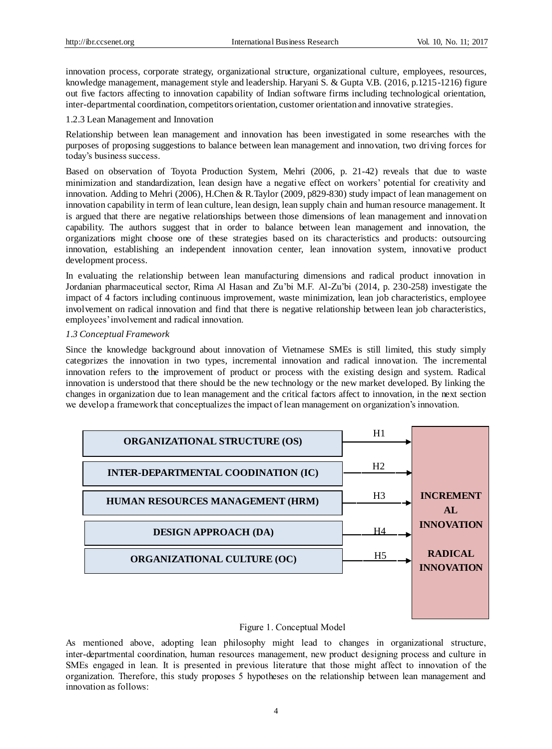innovation process, corporate strategy, organizational structure, organizational culture, employees, resources, knowledge management, management style and leadership. Haryani S. & Gupta V.B. (2016, p.1215-1216) figure out five factors affecting to innovation capability of Indian software firms including technological orientation, inter-departmental coordination, competitors orientation, customer orientation and innovative strategies.

1.2.3 Lean Management and Innovation

Relationship between lean management and innovation has been investigated in some researches with the purposes of proposing suggestions to balance between lean management and innovation, two driving forces for today's business success.

Based on observation of Toyota Production System, Mehri (2006, p. 21-42) reveals that due to waste minimization and standardization, lean design have a negative effect on workers' potential for creativity and innovation. Adding to Mehri (2006), H.Chen & R.Taylor (2009, p829-830) study impact of lean management on innovation capability in term of lean culture, lean design, lean supply chain and human resource management. It is argued that there are negative relationships between those dimensions of lean management and innovation capability. The authors suggest that in order to balance between lean management and innovation, the organizations might choose one of these strategies based on its characteristics and products: outsourcing innovation, establishing an independent innovation center, lean innovation system, innovative product development process.

In evaluating the relationship between lean manufacturing dimensions and radical product innovation in Jordanian pharmaceutical sector, Rima Al Hasan and Zu'bi M.F. Al-Zu'bi (2014, p. 230-258) investigate the impact of 4 factors including continuous improvement, waste minimization, lean job characteristics, employee involvement on radical innovation and find that there is negative relationship between lean job characteristics, employees' involvement and radical innovation.

## *1.3 Conceptual Framework*

Since the knowledge background about innovation of Vietnamese SMEs is still limited, this study simply categorizes the innovation in two types, incremental innovation and radical innovation. The incremental innovation refers to the improvement of product or process with the existing design and system. Radical innovation is understood that there should be the new technology or the new market developed. By linking the changes in organization due to lean management and the critical factors affect to innovation, in the next section we develop a framework that conceptualizes the impact of lean management on organization's innovation.



#### Figure 1. Conceptual Model

As mentioned above, adopting lean philosophy might lead to changes in organizational structure, inter-departmental coordination, human resources management, new product designing process and culture in SMEs engaged in lean. It is presented in previous literature that those might affect to innovation of the organization. Therefore, this study proposes 5 hypotheses on the relationship between lean management and innovation as follows: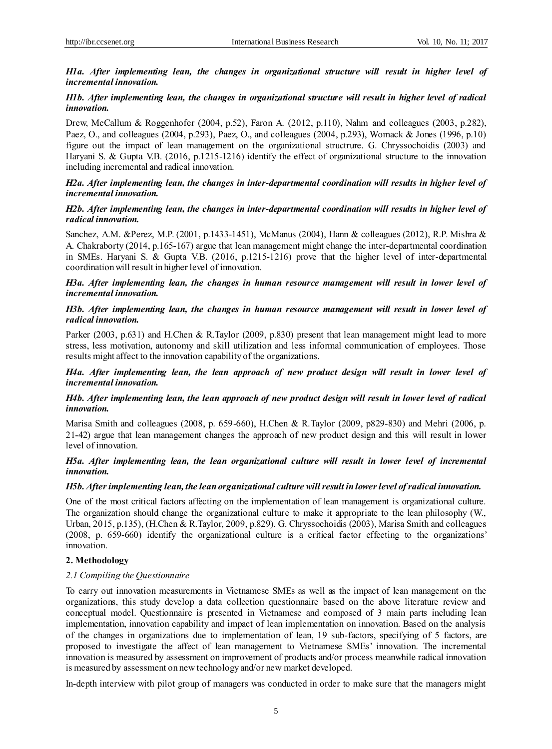*H1a. After implementing lean, the changes in organizational structure will result in higher level of incremental innovation.* 

# *H1b. After implementing lean, the changes in organizational structure will result in higher level of radical innovation.*

Drew, McCallum & Roggenhofer (2004, p.52), Faron A. (2012, p.110), Nahm and colleagues (2003, p.282), Paez, O., and colleagues (2004, p.293), Paez, O., and colleagues (2004, p.293), Womack & Jones (1996, p.10) figure out the impact of lean management on the organizational structrure. G. Chryssochoidis (2003) and Haryani S. & Gupta V.B. (2016, p.1215-1216) identify the effect of organizational structure to the innovation including incremental and radical innovation.

# *H2a. After implementing lean, the changes in inter-departmental coordination will results in higher level of incremental innovation.*

# *H2b. After implementing lean, the changes in inter-departmental coordination will results in higher level of radical innovation.*

Sanchez, A.M. &Perez, M.P. (2001, p.1433-1451), McManus (2004), Hann & colleagues (2012), R.P. Mishra & A. Chakraborty (2014, p.165-167) argue that lean management might change the inter-departmental coordination in SMEs. Haryani S. & Gupta V.B. (2016, p.1215-1216) prove that the higher level of inter-departmental coordination will result in higher level of innovation.

*H3a. After implementing lean, the changes in human resource management will result in lower level of incremental innovation.* 

# *H3b. After implementing lean, the changes in human resource management will result in lower level of radical innovation.*

Parker (2003, p.631) and H.Chen & R.Taylor (2009, p.830) present that lean management might lead to more stress, less motivation, autonomy and skill utilization and less informal communication of employees. Those results might affect to the innovation capability of the organizations.

# *H4a. After implementing lean, the lean approach of new product design will result in lower level of incremental innovation.*

# *H4b. After implementing lean, the lean approach of new product design will result in lower level of radical innovation.*

Marisa Smith and colleagues (2008, p. 659-660), H.Chen & R.Taylor (2009, p829-830) and Mehri (2006, p. 21-42) argue that lean management changes the approach of new product design and this will result in lower level of innovation.

# *H5a. After implementing lean, the lean organizational culture will result in lower level of incremental innovation.*

## *H5b. After implementing lean, the lean organizational culture will result in lower level of radical innovation.*

One of the most critical factors affecting on the implementation of lean management is organizational culture. The organization should change the organizational culture to make it appropriate to the lean philosophy (W., Urban, 2015, p.135), (H.Chen & R.Taylor, 2009, p.829). G. Chryssochoidis (2003), Marisa Smith and colleagues (2008, p. 659-660) identify the organizational culture is a critical factor effecting to the organizations' innovation.

# **2. Methodology**

# *2.1 Compiling the Questionnaire*

To carry out innovation measurements in Vietnamese SMEs as well as the impact of lean management on the organizations, this study develop a data collection questionnaire based on the above literature review and conceptual model. Questionnaire is presented in Vietnamese and composed of 3 main parts including lean implementation, innovation capability and impact of lean implementation on innovation. Based on the analysis of the changes in organizations due to implementation of lean, 19 sub-factors, specifying of 5 factors, are proposed to investigate the affect of lean management to Vietnamese SMEs' innovation. The incremental innovation is measured by assessment on improvement of products and/or process meanwhile radical innovation is measured by assessment on new technology and/or new market developed.

In-depth interview with pilot group of managers was conducted in order to make sure that the managers might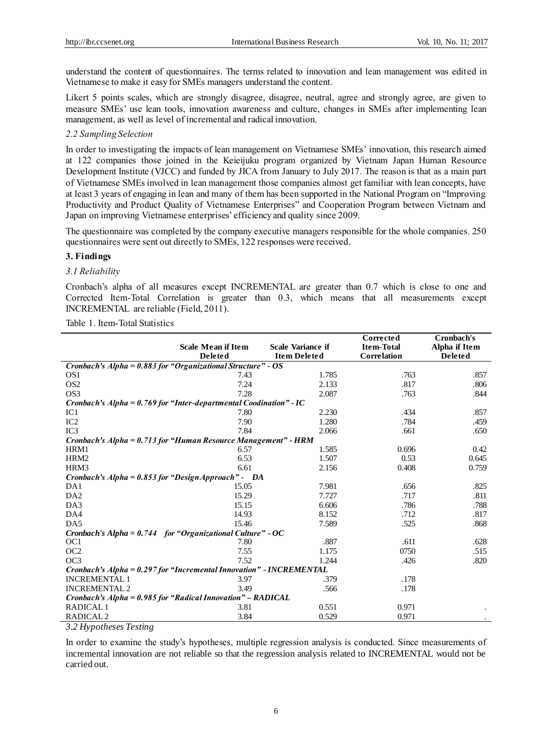understand the content of questionnaires. The terms related to innovation and lean management was edited in Vietnamese to make it easy for SMEs managers understand the content.

Likert 5 points scales, which are strongly disagree, disagree, neutral, agree and strongly agree, are given to measure SMEs' use lean tools, innovation awareness and culture, changes in SMEs after implementing lean management, as well as level of incremental and radical innovation.

# *2.2 Sampling Selection*

In order to investigating the impacts of lean management on Vietnamese SMEs' innovation, this research aimed at 122 companies those joined in the Keieijuku program organized by Vietnam Japan Human Resource Development Institute (VJCC) and funded by JICA from January to July 2017. The reason is that as a main part of Vietnamese SMEs involved in lean management those companies almost get familiar with lean concepts, have at least 3 years of engaging in lean and many of them has been supported in the National Program on "Improving Productivity and Product Quality of Vietnamese Enterprises" and Cooperation Program between Vietnam and Japan on improving Vietnamese enterprises' efficiency and quality since 2009.

The questionnaire was completed by the company executive managers responsible for the whole companies. 250 questionnaires were sent out directly to SMEs, 122 responses were received.

# **3. Findings**

#### *3.1 Reliability*

Cronbach's alpha of all measures except INCREMENTAL are greater than 0.7 which is close to one and Corrected Item-Total Correlation is greater than 0.3, which means that all measurements except INCREMENTAL are reliable (Field, 2011).

Table 1. Item-Total Statistics

|                                                                      |                                                                |                          | Corrected         | Cronbach's           |  |  |  |
|----------------------------------------------------------------------|----------------------------------------------------------------|--------------------------|-------------------|----------------------|--|--|--|
|                                                                      | <b>Scale Mean if Item</b>                                      | <b>Scale Variance if</b> | <b>Item-Total</b> | <b>Alpha</b> if Item |  |  |  |
|                                                                      | <b>Deleted</b>                                                 | <b>Item Deleted</b>      | Correlation       | <b>Deleted</b>       |  |  |  |
|                                                                      | Cronbach's Alpha = $0.883$ for "Organizational Structure" - OS |                          |                   |                      |  |  |  |
| OS <sub>1</sub>                                                      | 7.43                                                           | 1.785                    | .763              | .857                 |  |  |  |
| OS <sub>2</sub>                                                      | 7.24                                                           | 2.133                    | .817              | .806                 |  |  |  |
| OS3                                                                  | 7.28                                                           | 2.087                    | .763              | .844                 |  |  |  |
| Cronbach's $Alpha = 0.769$ for "Inter-departmental Coodination" - IC |                                                                |                          |                   |                      |  |  |  |
| IC <sub>1</sub>                                                      | 7.80                                                           | 2.230                    | .434              | .857                 |  |  |  |
| IC2                                                                  | 7.90                                                           | 1.280                    | .784              | .459                 |  |  |  |
| IC <sub>3</sub>                                                      | 7.84                                                           | 2.066                    | .661              | .650                 |  |  |  |
| Cronbach's Alpha = 0.713 for "Human Resource Management" - HRM       |                                                                |                          |                   |                      |  |  |  |
| HRM1                                                                 | 6.57                                                           | 1.585                    | 0.696             | 0.42                 |  |  |  |
| HRM2                                                                 | 6.53                                                           | 1.507                    | 0.53              | 0.645                |  |  |  |
| HRM3                                                                 | 6.61                                                           | 2.156                    | 0.408             | 0.759                |  |  |  |
| Cronbach's Alpha = $0.853$ for "Design Approach" - DA                |                                                                |                          |                   |                      |  |  |  |
| DA1                                                                  | 15.05                                                          | 7.981                    | .656              | .825                 |  |  |  |
| DA <sub>2</sub>                                                      | 15.29                                                          | 7.727                    | .717              | .811                 |  |  |  |
| DA3                                                                  | 15.15                                                          | 6.606                    | .786              | .788                 |  |  |  |
| DA4                                                                  | 14.93                                                          | 8.152                    | .712              | .817                 |  |  |  |
| DA5                                                                  | 15.46                                                          | 7.589                    | .525              | .868                 |  |  |  |
| Cronbach's Alpha = $0.744$ for "Organizational Culture" - OC         |                                                                |                          |                   |                      |  |  |  |
| OC <sub>1</sub>                                                      | 7.80                                                           | .887                     | .611              | .628                 |  |  |  |
| OC <sub>2</sub>                                                      | 7.55                                                           | 1.175                    | 0750              | .515                 |  |  |  |
| OC <sub>3</sub>                                                      | 7.52                                                           | 1.244                    | .426              | .820                 |  |  |  |
| Cronbach's Alpha = 0.297 for "Incremental Innovation" - INCREMENTAL  |                                                                |                          |                   |                      |  |  |  |
| <b>INCREMENTAL 1</b>                                                 | 3.97                                                           | .379                     | .178              |                      |  |  |  |
| <b>INCREMENTAL 2</b>                                                 | 3.49                                                           | .566                     | .178              |                      |  |  |  |
| Cronbach's Alpha = 0.985 for "Radical Innovation" - RADICAL          |                                                                |                          |                   |                      |  |  |  |
| <b>RADICAL1</b>                                                      | 3.81                                                           | 0.551                    | 0.971             |                      |  |  |  |
| RADICAL <sub>2</sub>                                                 | 3.84                                                           | 0.529                    | 0.971             |                      |  |  |  |

# *3.2 Hypotheses Testing*

In order to examine the study's hypotheses, multiple regression analysis is conducted. Since measurements of incremental innovation are not reliable so that the regression analysis related to INCREMENTAL would not be carried out.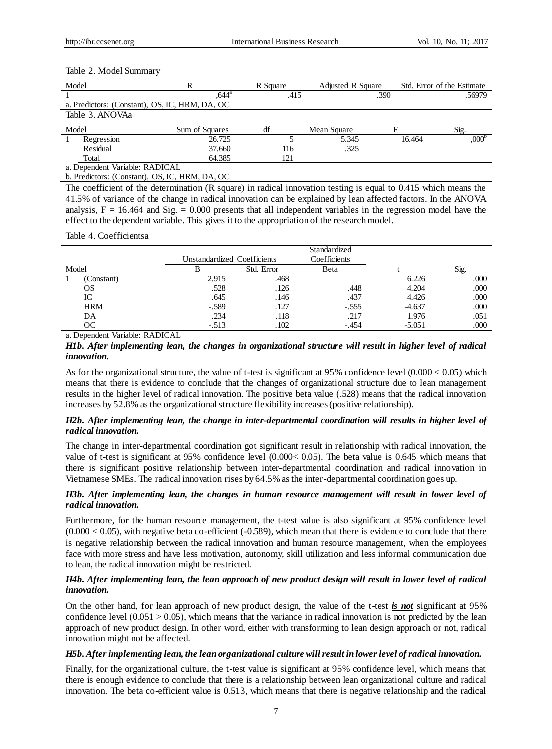# Table 2. Model Summary

| Model                                          | R              | R Square | <b>Adjusted R Square</b> |        | Std. Error of the Estimate |
|------------------------------------------------|----------------|----------|--------------------------|--------|----------------------------|
|                                                |                |          |                          |        |                            |
|                                                | $.644^{\circ}$ | .415     |                          | .390   | .56979                     |
| a. Predictors: (Constant), OS, IC, HRM, DA, OC |                |          |                          |        |                            |
| Table 3. ANOVAa                                |                |          |                          |        |                            |
|                                                |                |          |                          |        |                            |
| Model                                          | Sum of Squares | df       | Mean Square              | F      | Sig.                       |
| Regression                                     | 26.725         |          | 5.345                    | 16.464 | .000 <sup>b</sup>          |
| Residual                                       | 37.660         | 116      | .325                     |        |                            |
| Total                                          | 64.385         | 121      |                          |        |                            |
| a. Dependent Variable: RADICAL                 |                |          |                          |        |                            |

b. Predictors: (Constant), OS, IC, HRM, DA, OC

The coefficient of the determination (R square) in radical innovation testing is equal to 0.415 which means the 41.5% of variance of the change in radical innovation can be explained by lean affected factors. In the ANOVA analysis,  $F = 16.464$  and Sig. = 0.000 presents that all independent variables in the regression model have the effect to the dependent variable. This gives it to the appropriation of the research model.

Table 4. Coefficientsa

|                                                        | Standardized                |            |              |          |      |
|--------------------------------------------------------|-----------------------------|------------|--------------|----------|------|
|                                                        | Unstandardized Coefficients |            | Coefficients |          |      |
| Model                                                  |                             | Std. Error | Beta         |          | Sig. |
| (Constant)                                             | 2.915                       | .468       |              | 6.226    | .000 |
| OS                                                     | .528                        | .126       | .448         | 4.204    | .000 |
| IC                                                     | .645                        | .146       | .437         | 4.426    | .000 |
| <b>HRM</b>                                             | $-.589$                     | .127       | $-.555$      | $-4.637$ | .000 |
| DA                                                     | .234                        | .118       | .217         | 1.976    | .051 |
| <sub>OC</sub>                                          | $-.513$                     | .102       | $-.454$      | $-5.051$ | .000 |
| $\mathbf{M}$ $\mathbf{M}$ $\mathbf{M}$<br>$\mathbf{r}$ |                             |            |              |          |      |

a. Dependent Variable: RADICAL

## *H1b. After implementing lean, the changes in organizational structure will result in higher level of radical innovation.*

As for the organizational structure, the value of t-test is significant at 95% confidence level (0.000 < 0.05) which means that there is evidence to conclude that the changes of organizational structure due to lean management results in the higher level of radical innovation. The positive beta value (.528) means that the radical innovation increases by 52.8% as the organizational structure flexibility increases (positive relationship).

# *H2b. After implementing lean, the change in inter-departmental coordination will results in higher level of radical innovation.*

The change in inter-departmental coordination got significant result in relationship with radical innovation, the value of t-test is significant at 95% confidence level  $(0.000< 0.05)$ . The beta value is 0.645 which means that there is significant positive relationship between inter-departmental coordination and radical innovation in Vietnamese SMEs. The radical innovation rises by 64.5% as the inter-departmental coordination goes up.

# *H3b. After implementing lean, the changes in human resource management will result in lower level of radical innovation.*

Furthermore, for the human resource management, the t-test value is also significant at 95% confidence level  $(0.000 < 0.05)$ , with negative beta co-efficient (-0.589), which mean that there is evidence to conclude that there is negative relationship between the radical innovation and human resource management, when the employees face with more stress and have less motivation, autonomy, skill utilization and less informal communication due to lean, the radical innovation might be restricted.

# *H4b. After implementing lean, the lean approach of new product design will result in lower level of radical innovation.*

On the other hand, for lean approach of new product design, the value of the t-test *is not* significant at 95% confidence level  $(0.051 > 0.05)$ , which means that the variance in radical innovation is not predicted by the lean approach of new product design. In other word, either with transforming to lean design approach or not, radical innovation might not be affected.

## *H5b. After implementing lean, the lean organizational culture will result in lower level of radical innovation.*

Finally, for the organizational culture, the t-test value is significant at 95% confidence level, which means that there is enough evidence to conclude that there is a relationship between lean organizational culture and radical innovation. The beta co-efficient value is 0.513, which means that there is negative relationship and the radical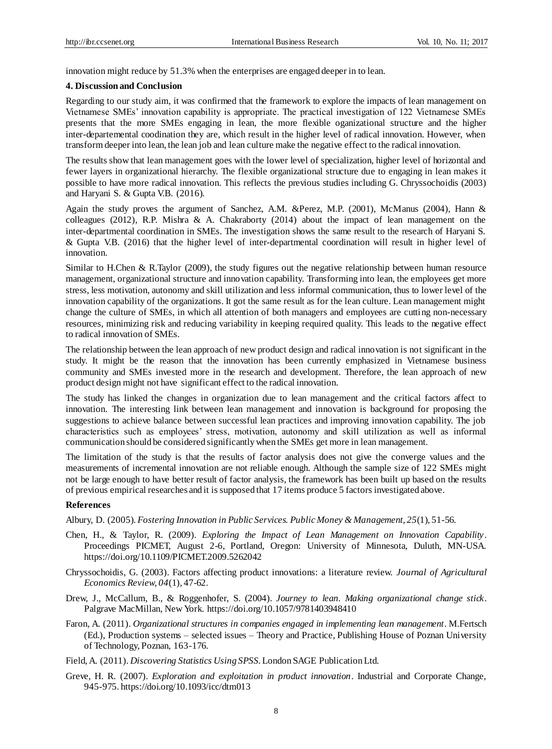innovation might reduce by 51.3% when the enterprises are engaged deeper in to lean.

#### **4. Discussion and Conclusion**

Regarding to our study aim, it was confirmed that the framework to explore the impacts of lean management on Vietnamese SMEs' innovation capability is appropriate. The practical investigation of 122 Vietnamese SMEs presents that the more SMEs engaging in lean, the more flexible oganizational structure and the higher inter-departemental coodination they are, which result in the higher level of radical innovation. However, when transform deeper into lean, the lean job and lean culture make the negative effect to the radical innovation.

The results show that lean management goes with the lower level of specialization, higher level of horizontal and fewer layers in organizational hierarchy. The flexible organizational structure due to engaging in lean makes it possible to have more radical innovation. This reflects the previous studies including G. Chryssochoidis (2003) and Haryani S. & Gupta V.B. (2016).

Again the study proves the argument of Sanchez, A.M. &Perez, M.P. (2001), McManus (2004), Hann & colleagues (2012), R.P. Mishra & A. Chakraborty (2014) about the impact of lean management on the inter-departmental coordination in SMEs. The investigation shows the same result to the research of Haryani S. & Gupta V.B. (2016) that the higher level of inter-departmental coordination will result in higher level of innovation.

Similar to H.Chen & R.Taylor (2009), the study figures out the negative relationship between human resource management, organizational structure and innovation capability. Transforming into lean, the employees get more stress, less motivation, autonomy and skill utilization and less informal communication, thus to lower level of the innovation capability of the organizations. It got the same result as for the lean culture. Lean management might change the culture of SMEs, in which all attention of both managers and employees are cutting non-necessary resources, minimizing risk and reducing variability in keeping required quality. This leads to the negative effect to radical innovation of SMEs.

The relationship between the lean approach of new product design and radical innovation is not significant in the study. It might be the reason that the innovation has been currently emphasized in Vietnamese business community and SMEs invested more in the research and development. Therefore, the lean approach of new product design might not have significant effect to the radical innovation.

The study has linked the changes in organization due to lean management and the critical factors affect to innovation. The interesting link between lean management and innovation is background for proposing the suggestions to achieve balance between successful lean practices and improving innovation capability. The job characteristics such as employees' stress, motivation, autonomy and skill utilization as well as informal communication should be considered significantly when the SMEs get more in lean management.

The limitation of the study is that the results of factor analysis does not give the converge values and the measurements of incremental innovation are not reliable enough. Although the sample size of 122 SMEs might not be large enough to have better result of factor analysis, the framework has been built up based on the results of previous empirical researches and it is supposed that 17 items produce 5 factors investigated above.

## **References**

Albury, D. (2005). *Fostering Innovation in Public Services. Public Money & Management, 25*(1), 51-56.

- Chen, H., & Taylor, R. (2009). *Exploring the Impact of Lean Management on Innovation Capability*. Proceedings PICMET, August 2-6, Portland, Oregon: University of Minnesota, Duluth, MN-USA. https://doi.org/10.1109/PICMET.2009.5262042
- Chryssochoidis, G. (2003). Factors affecting product innovations: a literature review. *Journal of Agricultural Economics Review, 04*(1), 47-62.
- Drew, J., McCallum, B., & Roggenhofer, S. (2004). *Journey to lean. Making organizational change stick*. Palgrave MacMillan, New York. https://doi.org/10.1057/9781403948410
- Faron, A. (2011). *Organizational structures in companies engaged in implementing lean management*. M.Fertsch (Ed.), Production systems – selected issues – Theory and Practice, Publishing House of Poznan University of Technology, Poznan, 163-176.
- Field, A. (2011). *Discovering Statistics Using SPSS*. London SAGE Publication Ltd.
- Greve, H. R. (2007). *Exploration and exploitation in product innovation*. Industrial and Corporate Change, 945-975. https://doi.org/10.1093/icc/dtm013